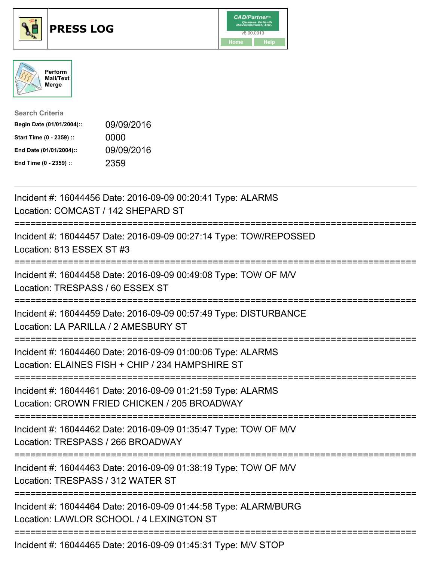





| <b>Search Criteria</b>    |            |
|---------------------------|------------|
| Begin Date (01/01/2004):: | 09/09/2016 |
| Start Time (0 - 2359) ::  | 0000       |
| End Date (01/01/2004)::   | 09/09/2016 |
| End Time (0 - 2359) ::    | 2359       |

| Incident #: 16044456 Date: 2016-09-09 00:20:41 Type: ALARMS<br>Location: COMCAST / 142 SHEPARD ST                                                  |
|----------------------------------------------------------------------------------------------------------------------------------------------------|
| Incident #: 16044457 Date: 2016-09-09 00:27:14 Type: TOW/REPOSSED<br>Location: 813 ESSEX ST #3                                                     |
| Incident #: 16044458 Date: 2016-09-09 00:49:08 Type: TOW OF M/V<br>Location: TRESPASS / 60 ESSEX ST                                                |
| Incident #: 16044459 Date: 2016-09-09 00:57:49 Type: DISTURBANCE<br>Location: LA PARILLA / 2 AMESBURY ST<br>--------------------------             |
| Incident #: 16044460 Date: 2016-09-09 01:00:06 Type: ALARMS<br>Location: ELAINES FISH + CHIP / 234 HAMPSHIRE ST<br>=============================== |
| Incident #: 16044461 Date: 2016-09-09 01:21:59 Type: ALARMS<br>Location: CROWN FRIED CHICKEN / 205 BROADWAY                                        |
| Incident #: 16044462 Date: 2016-09-09 01:35:47 Type: TOW OF M/V<br>Location: TRESPASS / 266 BROADWAY<br>============================               |
| Incident #: 16044463 Date: 2016-09-09 01:38:19 Type: TOW OF M/V<br>Location: TRESPASS / 312 WATER ST<br>:==========================                |
| Incident #: 16044464 Date: 2016-09-09 01:44:58 Type: ALARM/BURG<br>Location: LAWLOR SCHOOL / 4 LEXINGTON ST                                        |
| Incident #: 16044465 Date: 2016-09-09 01:45:31 Type: M/V STOP                                                                                      |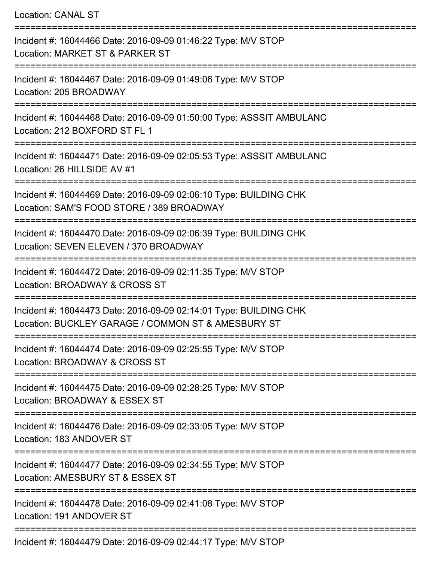Location: CANAL ST =========================================================================== Incident #: 16044466 Date: 2016-09-09 01:46:22 Type: M/V STOP Location: MARKET ST & PARKER ST =========================================================================== Incident #: 16044467 Date: 2016-09-09 01:49:06 Type: M/V STOP Location: 205 BROADWAY =========================================================================== Incident #: 16044468 Date: 2016-09-09 01:50:00 Type: ASSSIT AMBULANC Location: 212 BOXFORD ST FL 1 =========================================================================== Incident #: 16044471 Date: 2016-09-09 02:05:53 Type: ASSSIT AMBULANC Location: 26 HILLSIDE AV #1 =========================================================================== Incident #: 16044469 Date: 2016-09-09 02:06:10 Type: BUILDING CHK Location: SAM'S FOOD STORE / 389 BROADWAY =========================================================================== Incident #: 16044470 Date: 2016-09-09 02:06:39 Type: BUILDING CHK Location: SEVEN ELEVEN / 370 BROADWAY =========================================================================== Incident #: 16044472 Date: 2016-09-09 02:11:35 Type: M/V STOP Location: BROADWAY & CROSS ST =========================================================================== Incident #: 16044473 Date: 2016-09-09 02:14:01 Type: BUILDING CHK Location: BUCKLEY GARAGE / COMMON ST & AMESBURY ST =========================================================================== Incident #: 16044474 Date: 2016-09-09 02:25:55 Type: M/V STOP Location: BROADWAY & CROSS ST =========================================================================== Incident #: 16044475 Date: 2016-09-09 02:28:25 Type: M/V STOP Location: BROADWAY & ESSEX ST =========================================================================== Incident #: 16044476 Date: 2016-09-09 02:33:05 Type: M/V STOP Location: 183 ANDOVER ST =========================================================================== Incident #: 16044477 Date: 2016-09-09 02:34:55 Type: M/V STOP Location: AMESBURY ST & ESSEX ST =========================================================================== Incident #: 16044478 Date: 2016-09-09 02:41:08 Type: M/V STOP Location: 191 ANDOVER ST ===========================================================================

Incident #: 16044479 Date: 2016-09-09 02:44:17 Type: M/V STOP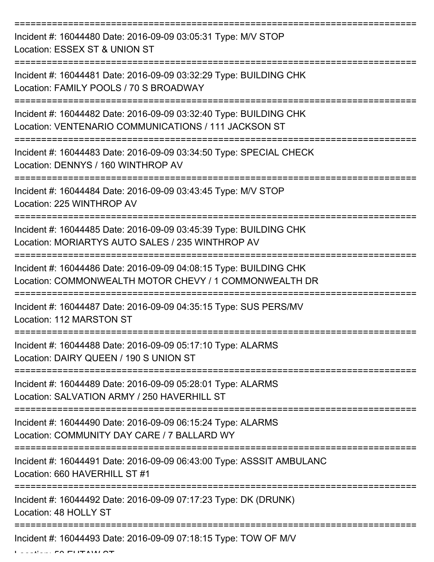| Incident #: 16044480 Date: 2016-09-09 03:05:31 Type: M/V STOP<br>Location: ESSEX ST & UNION ST                              |
|-----------------------------------------------------------------------------------------------------------------------------|
| Incident #: 16044481 Date: 2016-09-09 03:32:29 Type: BUILDING CHK<br>Location: FAMILY POOLS / 70 S BROADWAY                 |
| Incident #: 16044482 Date: 2016-09-09 03:32:40 Type: BUILDING CHK<br>Location: VENTENARIO COMMUNICATIONS / 111 JACKSON ST   |
| Incident #: 16044483 Date: 2016-09-09 03:34:50 Type: SPECIAL CHECK<br>Location: DENNYS / 160 WINTHROP AV                    |
| Incident #: 16044484 Date: 2016-09-09 03:43:45 Type: M/V STOP<br>Location: 225 WINTHROP AV                                  |
| Incident #: 16044485 Date: 2016-09-09 03:45:39 Type: BUILDING CHK<br>Location: MORIARTYS AUTO SALES / 235 WINTHROP AV       |
| Incident #: 16044486 Date: 2016-09-09 04:08:15 Type: BUILDING CHK<br>Location: COMMONWEALTH MOTOR CHEVY / 1 COMMONWEALTH DR |
| Incident #: 16044487 Date: 2016-09-09 04:35:15 Type: SUS PERS/MV<br>Location: 112 MARSTON ST                                |
| Incident #: 16044488 Date: 2016-09-09 05:17:10 Type: ALARMS<br>Location: DAIRY QUEEN / 190 S UNION ST                       |
| Incident #: 16044489 Date: 2016-09-09 05:28:01 Type: ALARMS<br>Location: SALVATION ARMY / 250 HAVERHILL ST                  |
| Incident #: 16044490 Date: 2016-09-09 06:15:24 Type: ALARMS<br>Location: COMMUNITY DAY CARE / 7 BALLARD WY                  |
| Incident #: 16044491 Date: 2016-09-09 06:43:00 Type: ASSSIT AMBULANC<br>Location: 660 HAVERHILL ST #1                       |
| Incident #: 16044492 Date: 2016-09-09 07:17:23 Type: DK (DRUNK)<br>Location: 48 HOLLY ST                                    |
| Incident #: 16044493 Date: 2016-09-09 07:18:15 Type: TOW OF M/V                                                             |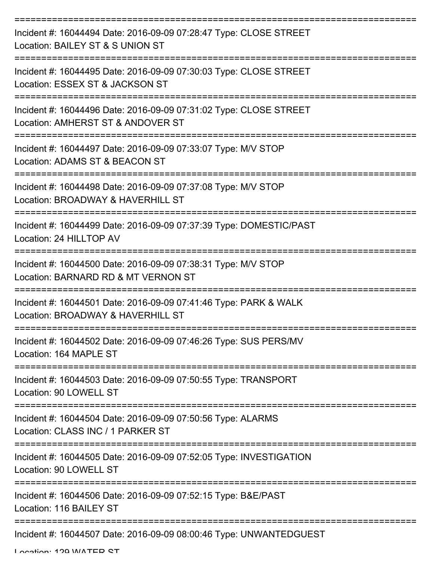| Incident #: 16044494 Date: 2016-09-09 07:28:47 Type: CLOSE STREET<br>Location: BAILEY ST & S UNION ST  |
|--------------------------------------------------------------------------------------------------------|
| Incident #: 16044495 Date: 2016-09-09 07:30:03 Type: CLOSE STREET<br>Location: ESSEX ST & JACKSON ST   |
| Incident #: 16044496 Date: 2016-09-09 07:31:02 Type: CLOSE STREET<br>Location: AMHERST ST & ANDOVER ST |
| Incident #: 16044497 Date: 2016-09-09 07:33:07 Type: M/V STOP<br>Location: ADAMS ST & BEACON ST        |
| Incident #: 16044498 Date: 2016-09-09 07:37:08 Type: M/V STOP<br>Location: BROADWAY & HAVERHILL ST     |
| Incident #: 16044499 Date: 2016-09-09 07:37:39 Type: DOMESTIC/PAST<br>Location: 24 HILLTOP AV          |
| Incident #: 16044500 Date: 2016-09-09 07:38:31 Type: M/V STOP<br>Location: BARNARD RD & MT VERNON ST   |
| Incident #: 16044501 Date: 2016-09-09 07:41:46 Type: PARK & WALK<br>Location: BROADWAY & HAVERHILL ST  |
| Incident #: 16044502 Date: 2016-09-09 07:46:26 Type: SUS PERS/MV<br>Location: 164 MAPLE ST             |
| Incident #: 16044503 Date: 2016-09-09 07:50:55 Type: TRANSPORT<br>Location: 90 LOWELL ST               |
| Incident #: 16044504 Date: 2016-09-09 07:50:56 Type: ALARMS<br>Location: CLASS INC / 1 PARKER ST       |
| Incident #: 16044505 Date: 2016-09-09 07:52:05 Type: INVESTIGATION<br>Location: 90 LOWELL ST           |
| Incident #: 16044506 Date: 2016-09-09 07:52:15 Type: B&E/PAST<br>Location: 116 BAILEY ST               |
| Incident #: 16044507 Date: 2016-09-09 08:00:46 Type: UNWANTEDGUEST                                     |

Location: 120 WATED CT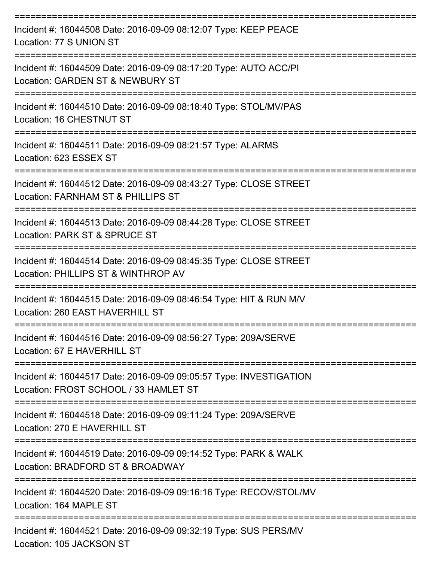| Incident #: 16044508 Date: 2016-09-09 08:12:07 Type: KEEP PEACE<br>Location: 77 S UNION ST                  |
|-------------------------------------------------------------------------------------------------------------|
| Incident #: 16044509 Date: 2016-09-09 08:17:20 Type: AUTO ACC/PI<br>Location: GARDEN ST & NEWBURY ST        |
| Incident #: 16044510 Date: 2016-09-09 08:18:40 Type: STOL/MV/PAS<br>Location: 16 CHESTNUT ST                |
| Incident #: 16044511 Date: 2016-09-09 08:21:57 Type: ALARMS<br>Location: 623 ESSEX ST                       |
| Incident #: 16044512 Date: 2016-09-09 08:43:27 Type: CLOSE STREET<br>Location: FARNHAM ST & PHILLIPS ST     |
| Incident #: 16044513 Date: 2016-09-09 08:44:28 Type: CLOSE STREET<br>Location: PARK ST & SPRUCE ST          |
| Incident #: 16044514 Date: 2016-09-09 08:45:35 Type: CLOSE STREET<br>Location: PHILLIPS ST & WINTHROP AV    |
| Incident #: 16044515 Date: 2016-09-09 08:46:54 Type: HIT & RUN M/V<br>Location: 260 EAST HAVERHILL ST       |
| Incident #: 16044516 Date: 2016-09-09 08:56:27 Type: 209A/SERVE<br>Location: 67 E HAVERHILL ST              |
| Incident #: 16044517 Date: 2016-09-09 09:05:57 Type: INVESTIGATION<br>Location: FROST SCHOOL / 33 HAMLET ST |
| Incident #: 16044518 Date: 2016-09-09 09:11:24 Type: 209A/SERVE<br>Location: 270 E HAVERHILL ST             |
| Incident #: 16044519 Date: 2016-09-09 09:14:52 Type: PARK & WALK<br>Location: BRADFORD ST & BROADWAY        |
| Incident #: 16044520 Date: 2016-09-09 09:16:16 Type: RECOV/STOL/MV<br>Location: 164 MAPLE ST                |
| Incident #: 16044521 Date: 2016-09-09 09:32:19 Type: SUS PERS/MV<br>Location: 105 JACKSON ST                |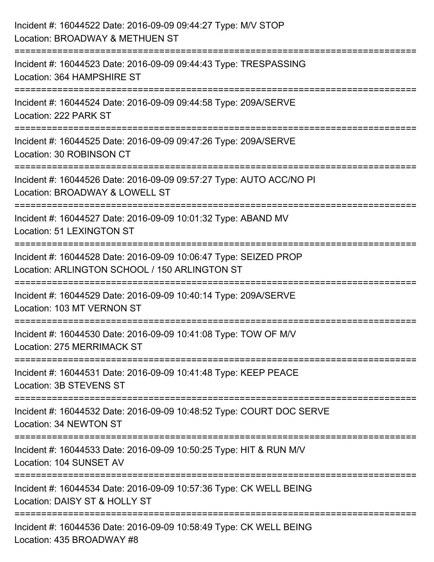| Incident #: 16044522 Date: 2016-09-09 09:44:27 Type: M/V STOP<br>Location: BROADWAY & METHUEN ST                                        |
|-----------------------------------------------------------------------------------------------------------------------------------------|
| :====================================<br>Incident #: 16044523 Date: 2016-09-09 09:44:43 Type: TRESPASSING<br>Location: 364 HAMPSHIRE ST |
| Incident #: 16044524 Date: 2016-09-09 09:44:58 Type: 209A/SERVE<br>Location: 222 PARK ST                                                |
| Incident #: 16044525 Date: 2016-09-09 09:47:26 Type: 209A/SERVE<br>Location: 30 ROBINSON CT                                             |
| Incident #: 16044526 Date: 2016-09-09 09:57:27 Type: AUTO ACC/NO PI<br>Location: BROADWAY & LOWELL ST                                   |
| Incident #: 16044527 Date: 2016-09-09 10:01:32 Type: ABAND MV<br><b>Location: 51 LEXINGTON ST</b>                                       |
| Incident #: 16044528 Date: 2016-09-09 10:06:47 Type: SEIZED PROP<br>Location: ARLINGTON SCHOOL / 150 ARLINGTON ST                       |
| Incident #: 16044529 Date: 2016-09-09 10:40:14 Type: 209A/SERVE<br>Location: 103 MT VERNON ST                                           |
| Incident #: 16044530 Date: 2016-09-09 10:41:08 Type: TOW OF M/V<br>Location: 275 MERRIMACK ST                                           |
| Incident #: 16044531 Date: 2016-09-09 10:41:48 Type: KEEP PEACE<br>Location: 3B STEVENS ST                                              |
| Incident #: 16044532 Date: 2016-09-09 10:48:52 Type: COURT DOC SERVE<br>Location: 34 NEWTON ST                                          |
| Incident #: 16044533 Date: 2016-09-09 10:50:25 Type: HIT & RUN M/V<br>Location: 104 SUNSET AV                                           |
| Incident #: 16044534 Date: 2016-09-09 10:57:36 Type: CK WELL BEING<br>Location: DAISY ST & HOLLY ST                                     |
| Incident #: 16044536 Date: 2016-09-09 10:58:49 Type: CK WELL BEING<br>Location: 435 BROADWAY #8                                         |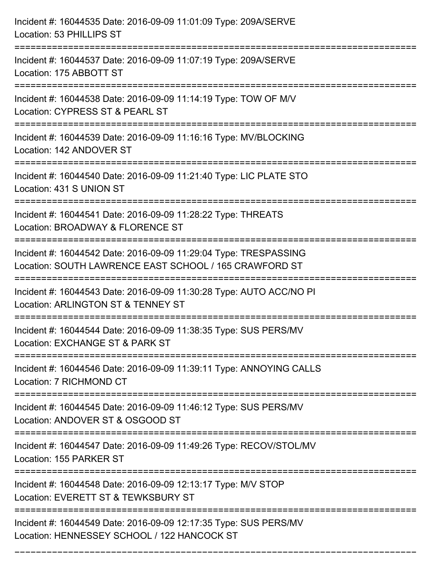| Incident #: 16044535 Date: 2016-09-09 11:01:09 Type: 209A/SERVE<br>Location: 53 PHILLIPS ST                                               |
|-------------------------------------------------------------------------------------------------------------------------------------------|
| Incident #: 16044537 Date: 2016-09-09 11:07:19 Type: 209A/SERVE<br>Location: 175 ABBOTT ST                                                |
| Incident #: 16044538 Date: 2016-09-09 11:14:19 Type: TOW OF M/V<br>Location: CYPRESS ST & PEARL ST<br>=================================== |
| Incident #: 16044539 Date: 2016-09-09 11:16:16 Type: MV/BLOCKING<br>Location: 142 ANDOVER ST                                              |
| Incident #: 16044540 Date: 2016-09-09 11:21:40 Type: LIC PLATE STO<br>Location: 431 S UNION ST<br>:=================================      |
| Incident #: 16044541 Date: 2016-09-09 11:28:22 Type: THREATS<br>Location: BROADWAY & FLORENCE ST<br>:=====================                |
| Incident #: 16044542 Date: 2016-09-09 11:29:04 Type: TRESPASSING<br>Location: SOUTH LAWRENCE EAST SCHOOL / 165 CRAWFORD ST                |
| Incident #: 16044543 Date: 2016-09-09 11:30:28 Type: AUTO ACC/NO PI<br>Location: ARLINGTON ST & TENNEY ST                                 |
| Incident #: 16044544 Date: 2016-09-09 11:38:35 Type: SUS PERS/MV<br>Location: EXCHANGE ST & PARK ST                                       |
| Incident #: 16044546 Date: 2016-09-09 11:39:11 Type: ANNOYING CALLS<br>Location: 7 RICHMOND CT                                            |
| Incident #: 16044545 Date: 2016-09-09 11:46:12 Type: SUS PERS/MV<br>Location: ANDOVER ST & OSGOOD ST                                      |
| Incident #: 16044547 Date: 2016-09-09 11:49:26 Type: RECOV/STOL/MV<br>Location: 155 PARKER ST                                             |
| Incident #: 16044548 Date: 2016-09-09 12:13:17 Type: M/V STOP<br>Location: EVERETT ST & TEWKSBURY ST                                      |
| Incident #: 16044549 Date: 2016-09-09 12:17:35 Type: SUS PERS/MV<br>Location: HENNESSEY SCHOOL / 122 HANCOCK ST                           |

===========================================================================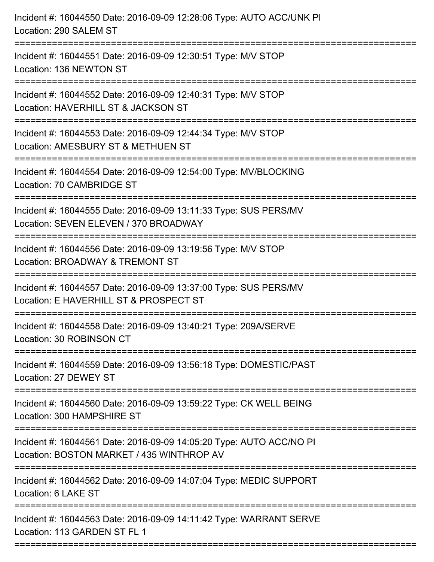| Incident #: 16044550 Date: 2016-09-09 12:28:06 Type: AUTO ACC/UNK PI<br>Location: 290 SALEM ST                                         |
|----------------------------------------------------------------------------------------------------------------------------------------|
| ======================<br>Incident #: 16044551 Date: 2016-09-09 12:30:51 Type: M/V STOP<br>Location: 136 NEWTON ST                     |
| Incident #: 16044552 Date: 2016-09-09 12:40:31 Type: M/V STOP<br>Location: HAVERHILL ST & JACKSON ST<br>============================== |
| Incident #: 16044553 Date: 2016-09-09 12:44:34 Type: M/V STOP<br>Location: AMESBURY ST & METHUEN ST<br>========================        |
| Incident #: 16044554 Date: 2016-09-09 12:54:00 Type: MV/BLOCKING<br>Location: 70 CAMBRIDGE ST                                          |
| Incident #: 16044555 Date: 2016-09-09 13:11:33 Type: SUS PERS/MV<br>Location: SEVEN ELEVEN / 370 BROADWAY                              |
| :=========================<br>Incident #: 16044556 Date: 2016-09-09 13:19:56 Type: M/V STOP<br>Location: BROADWAY & TREMONT ST         |
| Incident #: 16044557 Date: 2016-09-09 13:37:00 Type: SUS PERS/MV<br>Location: E HAVERHILL ST & PROSPECT ST                             |
| Incident #: 16044558 Date: 2016-09-09 13:40:21 Type: 209A/SERVE<br>Location: 30 ROBINSON CT                                            |
| Incident #: 16044559 Date: 2016-09-09 13:56:18 Type: DOMESTIC/PAST<br>Location: 27 DEWEY ST                                            |
| Incident #: 16044560 Date: 2016-09-09 13:59:22 Type: CK WELL BEING<br>Location: 300 HAMPSHIRE ST                                       |
| Incident #: 16044561 Date: 2016-09-09 14:05:20 Type: AUTO ACC/NO PI<br>Location: BOSTON MARKET / 435 WINTHROP AV                       |
| Incident #: 16044562 Date: 2016-09-09 14:07:04 Type: MEDIC SUPPORT<br>Location: 6 LAKE ST                                              |
| Incident #: 16044563 Date: 2016-09-09 14:11:42 Type: WARRANT SERVE<br>Location: 113 GARDEN ST FL 1                                     |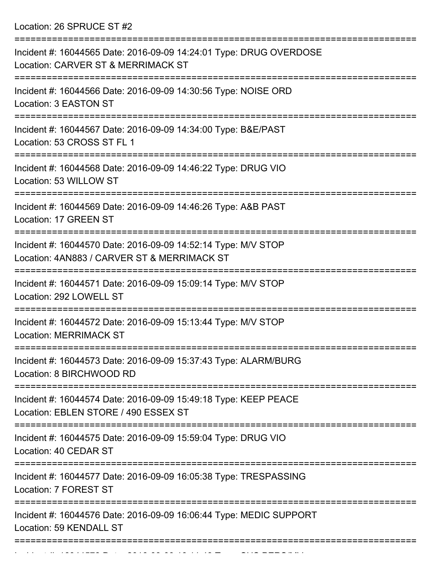Location: 26 SPRUCE ST #2

| Incident #: 16044565 Date: 2016-09-09 14:24:01 Type: DRUG OVERDOSE<br>Location: CARVER ST & MERRIMACK ST<br>------------------- |
|---------------------------------------------------------------------------------------------------------------------------------|
| Incident #: 16044566 Date: 2016-09-09 14:30:56 Type: NOISE ORD<br>Location: 3 EASTON ST<br>===================                  |
| Incident #: 16044567 Date: 2016-09-09 14:34:00 Type: B&E/PAST<br>Location: 53 CROSS ST FL 1                                     |
| Incident #: 16044568 Date: 2016-09-09 14:46:22 Type: DRUG VIO<br>Location: 53 WILLOW ST                                         |
| Incident #: 16044569 Date: 2016-09-09 14:46:26 Type: A&B PAST<br>Location: 17 GREEN ST                                          |
| Incident #: 16044570 Date: 2016-09-09 14:52:14 Type: M/V STOP<br>Location: 4AN883 / CARVER ST & MERRIMACK ST                    |
| Incident #: 16044571 Date: 2016-09-09 15:09:14 Type: M/V STOP<br>Location: 292 LOWELL ST                                        |
| Incident #: 16044572 Date: 2016-09-09 15:13:44 Type: M/V STOP<br><b>Location: MERRIMACK ST</b>                                  |
| Incident #: 16044573 Date: 2016-09-09 15:37:43 Type: ALARM/BURG<br>Location: 8 BIRCHWOOD RD                                     |
| Incident #: 16044574 Date: 2016-09-09 15:49:18 Type: KEEP PEACE<br>Location: EBLEN STORE / 490 ESSEX ST                         |
| Incident #: 16044575 Date: 2016-09-09 15:59:04 Type: DRUG VIO<br>Location: 40 CEDAR ST                                          |
| Incident #: 16044577 Date: 2016-09-09 16:05:38 Type: TRESPASSING<br>Location: 7 FOREST ST                                       |
| Incident #: 16044576 Date: 2016-09-09 16:06:44 Type: MEDIC SUPPORT<br>Location: 59 KENDALL ST                                   |
|                                                                                                                                 |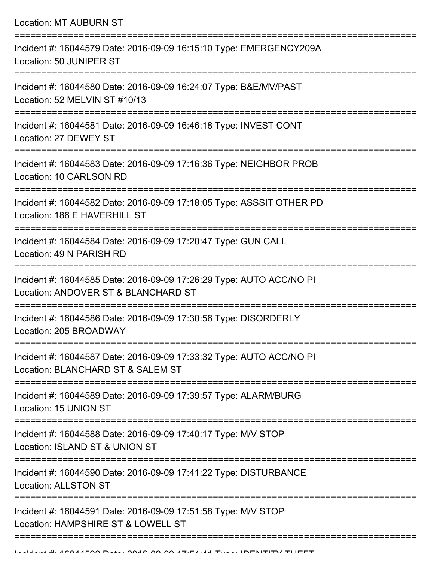| Location: MT AUBURN ST |  |  |  |
|------------------------|--|--|--|
|------------------------|--|--|--|

| Incident #: 16044579 Date: 2016-09-09 16:15:10 Type: EMERGENCY209A<br>Location: 50 JUNIPER ST              |
|------------------------------------------------------------------------------------------------------------|
| Incident #: 16044580 Date: 2016-09-09 16:24:07 Type: B&E/MV/PAST<br>Location: 52 MELVIN ST #10/13          |
| Incident #: 16044581 Date: 2016-09-09 16:46:18 Type: INVEST CONT<br>Location: 27 DEWEY ST                  |
| Incident #: 16044583 Date: 2016-09-09 17:16:36 Type: NEIGHBOR PROB<br>Location: 10 CARLSON RD              |
| Incident #: 16044582 Date: 2016-09-09 17:18:05 Type: ASSSIT OTHER PD<br>Location: 186 E HAVERHILL ST       |
| Incident #: 16044584 Date: 2016-09-09 17:20:47 Type: GUN CALL<br>Location: 49 N PARISH RD                  |
| Incident #: 16044585 Date: 2016-09-09 17:26:29 Type: AUTO ACC/NO PI<br>Location: ANDOVER ST & BLANCHARD ST |
| Incident #: 16044586 Date: 2016-09-09 17:30:56 Type: DISORDERLY<br>Location: 205 BROADWAY                  |
| Incident #: 16044587 Date: 2016-09-09 17:33:32 Type: AUTO ACC/NO PI<br>Location: BLANCHARD ST & SALEM ST   |
| Incident #: 16044589 Date: 2016-09-09 17:39:57 Type: ALARM/BURG<br>Location: 15 UNION ST                   |
| Incident #: 16044588 Date: 2016-09-09 17:40:17 Type: M/V STOP<br>Location: ISLAND ST & UNION ST            |
| Incident #: 16044590 Date: 2016-09-09 17:41:22 Type: DISTURBANCE<br><b>Location: ALLSTON ST</b>            |
| Incident #: 16044591 Date: 2016-09-09 17:51:58 Type: M/V STOP<br>Location: HAMPSHIRE ST & LOWELL ST        |
|                                                                                                            |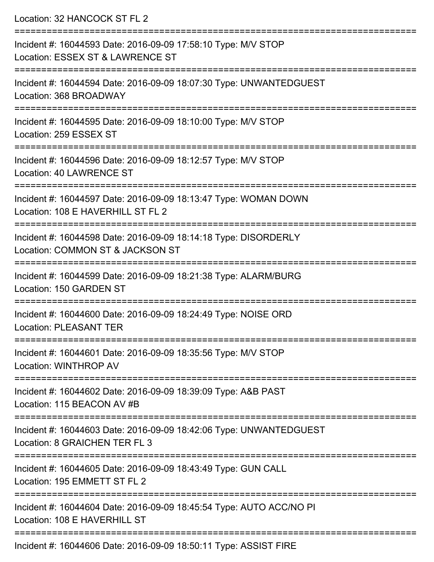| Location: 32 HANCOCK ST FL 2                                                                                              |
|---------------------------------------------------------------------------------------------------------------------------|
| Incident #: 16044593 Date: 2016-09-09 17:58:10 Type: M/V STOP<br>Location: ESSEX ST & LAWRENCE ST                         |
| Incident #: 16044594 Date: 2016-09-09 18:07:30 Type: UNWANTEDGUEST<br>Location: 368 BROADWAY                              |
| Incident #: 16044595 Date: 2016-09-09 18:10:00 Type: M/V STOP<br>Location: 259 ESSEX ST<br>:============================= |
| Incident #: 16044596 Date: 2016-09-09 18:12:57 Type: M/V STOP<br>Location: 40 LAWRENCE ST                                 |
| Incident #: 16044597 Date: 2016-09-09 18:13:47 Type: WOMAN DOWN<br>Location: 108 E HAVERHILL ST FL 2                      |
| Incident #: 16044598 Date: 2016-09-09 18:14:18 Type: DISORDERLY<br>Location: COMMON ST & JACKSON ST                       |
| Incident #: 16044599 Date: 2016-09-09 18:21:38 Type: ALARM/BURG<br>Location: 150 GARDEN ST                                |
| Incident #: 16044600 Date: 2016-09-09 18:24:49 Type: NOISE ORD<br><b>Location: PLEASANT TER</b>                           |
| Incident #: 16044601 Date: 2016-09-09 18:35:56 Type: M/V STOP<br>Location: WINTHROP AV                                    |
| Incident #: 16044602 Date: 2016-09-09 18:39:09 Type: A&B PAST<br>Location: 115 BEACON AV #B                               |
| Incident #: 16044603 Date: 2016-09-09 18:42:06 Type: UNWANTEDGUEST<br>Location: 8 GRAICHEN TER FL 3                       |
| Incident #: 16044605 Date: 2016-09-09 18:43:49 Type: GUN CALL<br>Location: 195 EMMETT ST FL 2                             |
| Incident #: 16044604 Date: 2016-09-09 18:45:54 Type: AUTO ACC/NO PI<br>Location: 108 E HAVERHILL ST                       |
| $Incidont + 16044606$ Data: 2016.00.00.19:50:11 Type: ASSIST FIDE                                                         |

Incident #: 16044606 Date: 2016-09-09 18:50:11 Type: ASSIST FIRE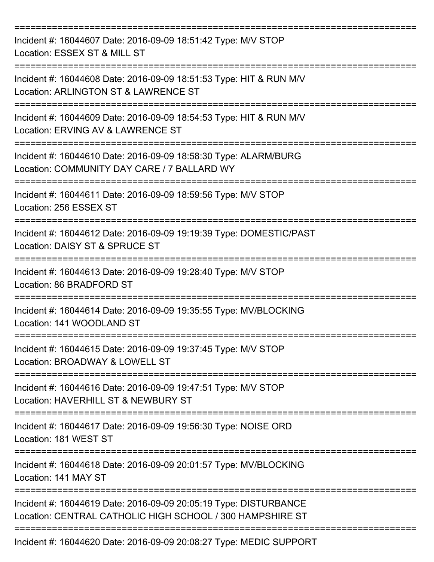| Incident #: 16044607 Date: 2016-09-09 18:51:42 Type: M/V STOP<br>Location: ESSEX ST & MILL ST                                 |
|-------------------------------------------------------------------------------------------------------------------------------|
| Incident #: 16044608 Date: 2016-09-09 18:51:53 Type: HIT & RUN M/V<br>Location: ARLINGTON ST & LAWRENCE ST                    |
| Incident #: 16044609 Date: 2016-09-09 18:54:53 Type: HIT & RUN M/V<br>Location: ERVING AV & LAWRENCE ST                       |
| Incident #: 16044610 Date: 2016-09-09 18:58:30 Type: ALARM/BURG<br>Location: COMMUNITY DAY CARE / 7 BALLARD WY                |
| Incident #: 16044611 Date: 2016-09-09 18:59:56 Type: M/V STOP<br>Location: 256 ESSEX ST                                       |
| Incident #: 16044612 Date: 2016-09-09 19:19:39 Type: DOMESTIC/PAST<br>Location: DAISY ST & SPRUCE ST                          |
| Incident #: 16044613 Date: 2016-09-09 19:28:40 Type: M/V STOP<br>Location: 86 BRADFORD ST                                     |
| Incident #: 16044614 Date: 2016-09-09 19:35:55 Type: MV/BLOCKING<br>Location: 141 WOODLAND ST                                 |
| Incident #: 16044615 Date: 2016-09-09 19:37:45 Type: M/V STOP<br>Location: BROADWAY & LOWELL ST                               |
| Incident #: 16044616 Date: 2016-09-09 19:47:51 Type: M/V STOP<br>Location: HAVERHILL ST & NEWBURY ST                          |
| Incident #: 16044617 Date: 2016-09-09 19:56:30 Type: NOISE ORD<br>Location: 181 WEST ST                                       |
| Incident #: 16044618 Date: 2016-09-09 20:01:57 Type: MV/BLOCKING<br>Location: 141 MAY ST                                      |
| Incident #: 16044619 Date: 2016-09-09 20:05:19 Type: DISTURBANCE<br>Location: CENTRAL CATHOLIC HIGH SCHOOL / 300 HAMPSHIRE ST |
| Incident #: 16044620 Date: 2016-09-09 20:08:27 Type: MEDIC SUPPORT                                                            |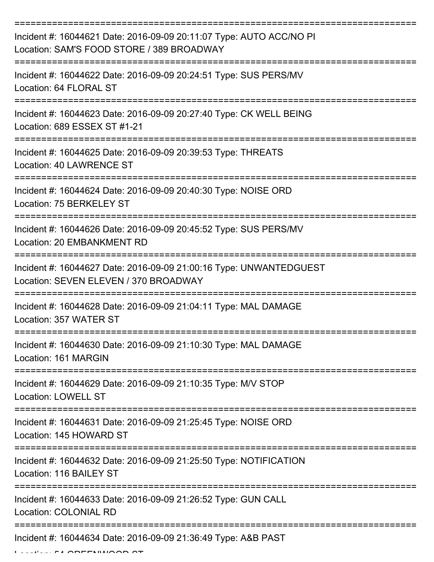| Incident #: 16044621 Date: 2016-09-09 20:11:07 Type: AUTO ACC/NO PI<br>Location: SAM'S FOOD STORE / 389 BROADWAY |
|------------------------------------------------------------------------------------------------------------------|
| Incident #: 16044622 Date: 2016-09-09 20:24:51 Type: SUS PERS/MV<br>Location: 64 FLORAL ST                       |
| Incident #: 16044623 Date: 2016-09-09 20:27:40 Type: CK WELL BEING<br>Location: 689 ESSEX ST #1-21               |
| Incident #: 16044625 Date: 2016-09-09 20:39:53 Type: THREATS<br>Location: 40 LAWRENCE ST                         |
| Incident #: 16044624 Date: 2016-09-09 20:40:30 Type: NOISE ORD<br>Location: 75 BERKELEY ST                       |
| Incident #: 16044626 Date: 2016-09-09 20:45:52 Type: SUS PERS/MV<br>Location: 20 EMBANKMENT RD                   |
| Incident #: 16044627 Date: 2016-09-09 21:00:16 Type: UNWANTEDGUEST<br>Location: SEVEN ELEVEN / 370 BROADWAY      |
| Incident #: 16044628 Date: 2016-09-09 21:04:11 Type: MAL DAMAGE<br>Location: 357 WATER ST                        |
| Incident #: 16044630 Date: 2016-09-09 21:10:30 Type: MAL DAMAGE<br>Location: 161 MARGIN                          |
| Incident #: 16044629 Date: 2016-09-09 21:10:35 Type: M/V STOP<br><b>Location: LOWELL ST</b>                      |
| Incident #: 16044631 Date: 2016-09-09 21:25:45 Type: NOISE ORD<br>Location: 145 HOWARD ST                        |
| Incident #: 16044632 Date: 2016-09-09 21:25:50 Type: NOTIFICATION<br>Location: 116 BAILEY ST                     |
| Incident #: 16044633 Date: 2016-09-09 21:26:52 Type: GUN CALL<br>Location: COLONIAL RD                           |
| Incident #: 16044634 Date: 2016-09-09 21:36:49 Type: A&B PAST                                                    |

 $L_{\text{max}}$   $\mathbf{F}$  and  $\mathbf{F}$  and  $\mathbf{F}$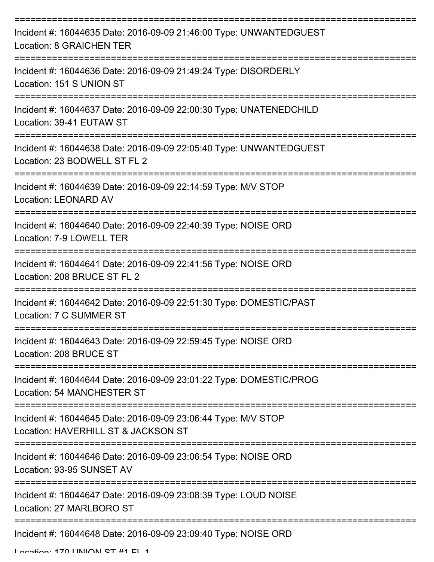| Incident #: 16044635 Date: 2016-09-09 21:46:00 Type: UNWANTEDGUEST<br><b>Location: 8 GRAICHEN TER</b>   |
|---------------------------------------------------------------------------------------------------------|
| Incident #: 16044636 Date: 2016-09-09 21:49:24 Type: DISORDERLY<br>Location: 151 S UNION ST             |
| Incident #: 16044637 Date: 2016-09-09 22:00:30 Type: UNATENEDCHILD<br>Location: 39-41 EUTAW ST          |
| Incident #: 16044638 Date: 2016-09-09 22:05:40 Type: UNWANTEDGUEST<br>Location: 23 BODWELL ST FL 2      |
| Incident #: 16044639 Date: 2016-09-09 22:14:59 Type: M/V STOP<br><b>Location: LEONARD AV</b>            |
| Incident #: 16044640 Date: 2016-09-09 22:40:39 Type: NOISE ORD<br>Location: 7-9 LOWELL TER              |
| Incident #: 16044641 Date: 2016-09-09 22:41:56 Type: NOISE ORD<br>Location: 208 BRUCE ST FL 2           |
| Incident #: 16044642 Date: 2016-09-09 22:51:30 Type: DOMESTIC/PAST<br>Location: 7 C SUMMER ST           |
| Incident #: 16044643 Date: 2016-09-09 22:59:45 Type: NOISE ORD<br>Location: 208 BRUCE ST                |
| Incident #: 16044644 Date: 2016-09-09 23:01:22 Type: DOMESTIC/PROG<br><b>Location: 54 MANCHESTER ST</b> |
| Incident #: 16044645 Date: 2016-09-09 23:06:44 Type: M/V STOP<br>Location: HAVERHILL ST & JACKSON ST    |
| Incident #: 16044646 Date: 2016-09-09 23:06:54 Type: NOISE ORD<br>Location: 93-95 SUNSET AV             |
| Incident #: 16044647 Date: 2016-09-09 23:08:39 Type: LOUD NOISE<br>Location: 27 MARLBORO ST             |
| Incident #: 16044648 Date: 2016-09-09 23:09:40 Type: NOISE ORD                                          |

Location: 170 LINIION ST #1 FL 1